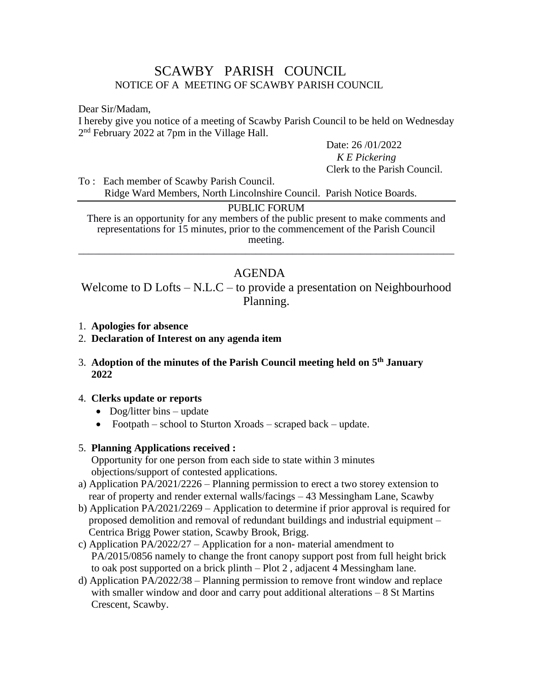# SCAWBY PARISH COUNCIL NOTICE OF A MEETING OF SCAWBY PARISH COUNCIL

Dear Sir/Madam,

I hereby give you notice of a meeting of Scawby Parish Council to be held on Wednesday 2<sup>nd</sup> February 2022 at 7pm in the Village Hall.

> Date: 26 /01/2022 *K E Pickering* Clerk to the Parish Council.

To : Each member of Scawby Parish Council. Ridge Ward Members, North Lincolnshire Council. Parish Notice Boards.

#### PUBLIC FORUM

There is an opportunity for any members of the public present to make comments and representations for 15 minutes, prior to the commencement of the Parish Council meeting. \_\_\_\_\_\_\_\_\_\_\_\_\_\_\_\_\_\_\_\_\_\_\_\_\_\_\_\_\_\_\_\_\_\_\_\_\_\_\_\_\_\_\_\_\_\_\_\_\_\_\_\_\_\_\_\_\_\_\_\_\_\_\_\_\_\_\_\_\_\_\_\_

# AGENDA

Welcome to D Lofts – N.L.C – to provide a presentation on Neighbourhood Planning.

- 1. **Apologies for absence**
- 2. **Declaration of Interest on any agenda item**
- 3. **Adoption of the minutes of the Parish Council meeting held on 5 th January 2022**

#### 4. **Clerks update or reports**

- Dog/litter bins update
- Footpath school to Sturton Xroads scraped back update.

#### 5. **Planning Applications received :**

Opportunity for one person from each side to state within 3 minutes objections/support of contested applications.

- a) Application PA/2021/2226 Planning permission to erect a two storey extension to rear of property and render external walls/facings – 43 Messingham Lane, Scawby
- b) Application PA/2021/2269 Application to determine if prior approval is required for proposed demolition and removal of redundant buildings and industrial equipment – Centrica Brigg Power station, Scawby Brook, Brigg.
- c) Application PA/2022/27 Application for a non- material amendment to PA/2015/0856 namely to change the front canopy support post from full height brick to oak post supported on a brick plinth – Plot 2 , adjacent 4 Messingham lane.
- d) Application PA/2022/38 Planning permission to remove front window and replace with smaller window and door and carry pout additional alterations – 8 St Martins Crescent, Scawby.